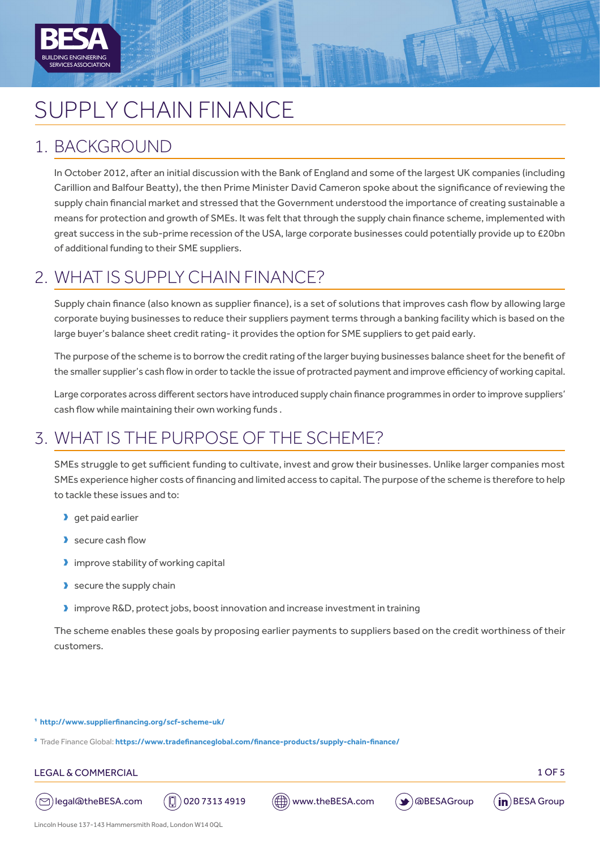

# SUPPLY CHAIN FINANCE

### 1. BACKGROUND

In October 2012, after an initial discussion with the Bank of England and some of the largest UK companies (including Carillion and Balfour Beatty), the then Prime Minister David Cameron spoke about the significance of reviewing the supply chain financial market and stressed that the Government understood the importance of creating sustainable a means for protection and growth of SMEs. It was felt that through the supply chain finance scheme, implemented with great success in the sub-prime recession of the USA, large corporate businesses could potentially provide up to £20bn of additional funding to their SME suppliers.

### 2. WHAT IS SUPPLY CHAIN FINANCE?

Supply chain finance (also known as supplier finance), is a set of solutions that improves cash flow by allowing large corporate buying businesses to reduce their suppliers payment terms through a banking facility which is based on the large buyer's balance sheet credit rating- it provides the option for SME suppliers to get paid early.

The purpose of the scheme is to borrow the credit rating of the larger buying businesses balance sheet for the benefit of the smaller supplier's cash flow in order to tackle the issue of protracted payment and improve efficiency of working capital.

Large corporates across different sectors have introduced supply chain finance programmes in order to improve suppliers' cash flow while maintaining their own working funds .

## 3. WHAT IS THE PURPOSE OF THE SCHEME?

SMEs struggle to get sufficient funding to cultivate, invest and grow their businesses. Unlike larger companies most SMEs experience higher costs of financing and limited access to capital. The purpose of the scheme is therefore to help to tackle these issues and to:

- $\blacktriangleright$  get paid earlier
- $\blacktriangleright$  secure cash flow
- $\blacktriangleright$  improve stability of working capital
- $\blacktriangleright$  secure the supply chain
- D improve R&D, protect jobs, boost innovation and increase investment in training

The scheme enables these goals by proposing earlier payments to suppliers based on the credit worthiness of their customers.

1 **[http://www.supplierfinancing.org/scf-scheme-uk/](http://www.supplierfinancing.org/scf-scheme-uk/
)**

2 Trade Finance Global: **<https://www.tradefinanceglobal.com/finance-products/supply-chain-finance/>**

#### LEGAL & COMMERCIAL 2008 PRESENTED A 2008 PRESENTED A 2008 PRESENTED A 2008 PRESENTED A 2008 PRESENTED A 2008 P







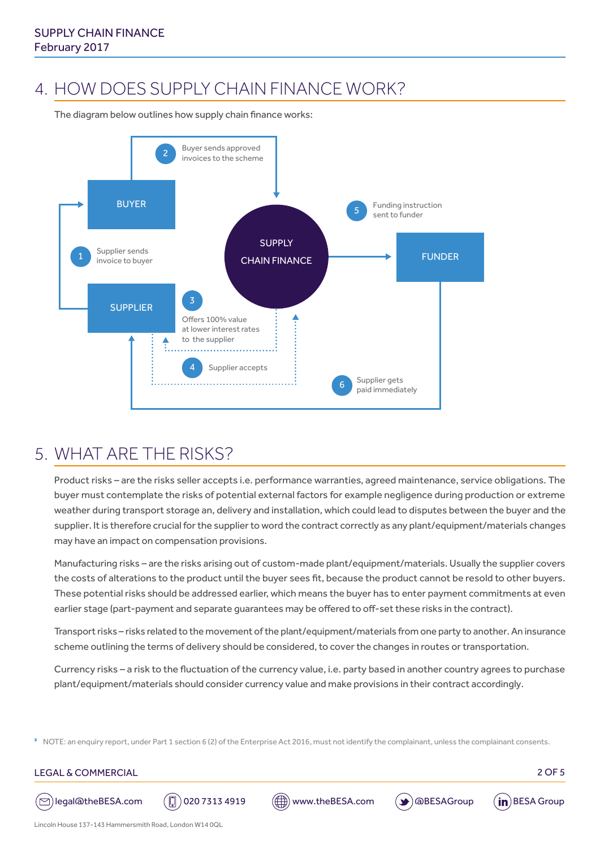### 4. HOW DOES SUPPLY CHAIN FINANCE WORK?

The diagram below outlines how supply chain finance works:



### 5. WHAT ARE THE RISKS?

Product risks – are the risks seller accepts i.e. performance warranties, agreed maintenance, service obligations. The buyer must contemplate the risks of potential external factors for example negligence during production or extreme weather during transport storage an, delivery and installation, which could lead to disputes between the buyer and the supplier. It is therefore crucial for the supplier to word the contract correctly as any plant/equipment/materials changes may have an impact on compensation provisions.

Manufacturing risks – are the risks arising out of custom-made plant/equipment/materials. Usually the supplier covers the costs of alterations to the product until the buyer sees fit, because the product cannot be resold to other buyers. These potential risks should be addressed earlier, which means the buyer has to enter payment commitments at even earlier stage (part-payment and separate guarantees may be offered to off-set these risks in the contract).

Transport risks – risks related to the movement of the plant/equipment/materials from one party to another. An insurance scheme outlining the terms of delivery should be considered, to cover the changes in routes or transportation.

Currency risks – a risk to the fluctuation of the currency value, i.e. party based in another country agrees to purchase plant/equipment/materials should consider currency value and make provisions in their contract accordingly.

<sup>2</sup> NOTE: an enquiry report, under Part 1 section 6 (2) of the Enterprise Act 2016, must not identify the complainant, unless the complainant consents.

#### LEGAL & COMMERCIAL 2 OF 5



( $\odot$ )legal@theBESA.com ( $\Box$ ) 020 7313 4919 ( $\Box$ ) www.theBESA.com ( $\blacktriangleright$ ) @BESAGroup (in)BESA Group





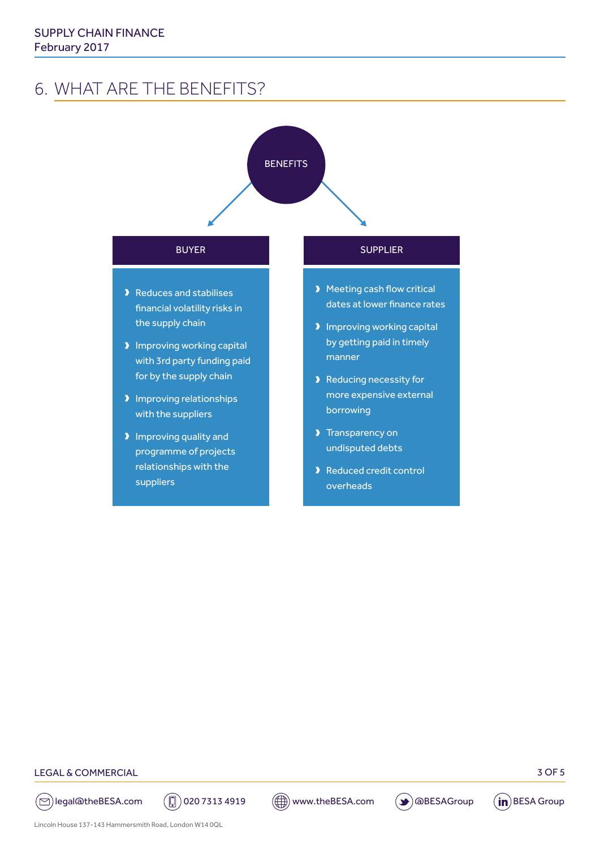### 6. WHAT ARE THE BENEFITS?



#### LEGAL & COMMERCIAL 3 OF 5

 $\textcircled{c}$ legal@theBESA.com  $\textcircled{c}$  020 7313 4919  $\textcircled{c}$  www.theBESA.com  $\textcircled{f}$  aBESAGroup  $\textcircled{f}$ BESA Group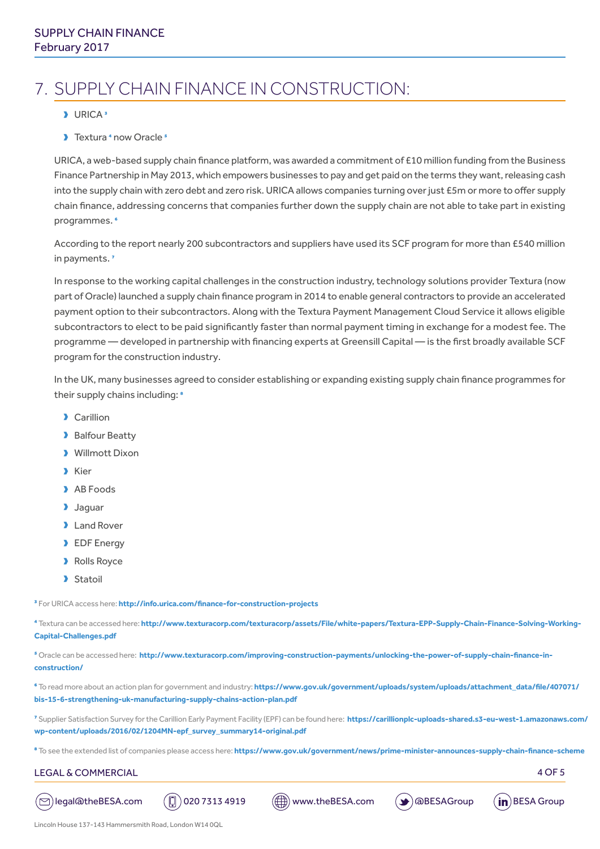# 7. SUPPLY CHAIN FINANCE IN CONSTRUCTION:

#### $\blacktriangleright$  URICA<sup>3</sup>

Du Textura 4 now Oracle<sup>5</sup>

URICA, a web-based supply chain finance platform, was awarded a commitment of £10 million funding from the Business Finance Partnership in May 2013, which empowers businesses to pay and get paid on the terms they want, releasing cash into the supply chain with zero debt and zero risk. URICA allows companies turning over just £5m or more to offer supply chain finance, addressing concerns that companies further down the supply chain are not able to take part in existing programmes. 6

According to the report nearly 200 subcontractors and suppliers have used its SCF program for more than £540 million in payments. 7

In response to the working capital challenges in the construction industry, technology solutions provider Textura (now part of Oracle) launched a supply chain finance program in 2014 to enable general contractors to provide an accelerated payment option to their subcontractors. Along with the Textura Payment Management Cloud Service it allows eligible subcontractors to elect to be paid significantly faster than normal payment timing in exchange for a modest fee. The programme — developed in partnership with financing experts at Greensill Capital — is the first broadly available SCF program for the construction industry.

In the UK, many businesses agreed to consider establishing or expanding existing supply chain finance programmes for their supply chains including: <sup>8</sup>

- > Carillion
- Balfour Beatty
- **D** Willmott Dixon
- **X** Kier
- > AB Foods
- **D** Jaquar
- **D** Land Rover
- **D** EDF Energy
- **D** Rolls Royce
- > Statoil

3 For URICA access here: **<http://info.urica.com/finance-for-construction-projects>**

4 Textura can be accessed here: **[http://www.texturacorp.com/texturacorp/assets/File/white-papers/Textura-EPP-Supply-Chain-Finance-Solving-Working-](http://www.texturacorp.com/texturacorp/assets/File/white-papers/Textura-EPP-Supply-Chain-Finance-Solving-Working-Capital-Challenges.pdf)[Capital-Challenges.pdf](http://www.texturacorp.com/texturacorp/assets/File/white-papers/Textura-EPP-Supply-Chain-Finance-Solving-Working-Capital-Challenges.pdf)**

5 Oracle can be accessed here: **[http://www.texturacorp.com/improving-construction-payments/unlocking-the-power-of-supply-chain-finance-in](http://www.texturacorp.com/improving-construction-payments/unlocking-the-power-of-supply-chain-finance-in-construction/)[construction/](http://www.texturacorp.com/improving-construction-payments/unlocking-the-power-of-supply-chain-finance-in-construction/)**

6 To read more about an action plan for government and industry: **[https://www.gov.uk/government/uploads/system/uploads/attachment\\_data/file/407071/](https://www.gov.uk/government/uploads/system/uploads/attachment_data/file/407071/bis-15-6-strengthening-uk-manufacturing-supply-chains-action-plan.pdf) [bis-15-6-strengthening-uk-manufacturing-supply-chains-action-plan.pdf](https://www.gov.uk/government/uploads/system/uploads/attachment_data/file/407071/bis-15-6-strengthening-uk-manufacturing-supply-chains-action-plan.pdf)**

7 Supplier Satisfaction Survey for the Carillion Early Payment Facility (EPF) can be found here: **[https://carillionplc-uploads-shared.s3-eu-west-1.amazonaws.com/](https://carillionplc-uploads-shared.s3-eu-west-1.amazonaws.com/wp-content/uploads/2016/02/1204MN-epf_survey_summary14-original.pdf) [wp-content/uploads/2016/02/1204MN-epf\\_survey\\_summary14-original.pdf](https://carillionplc-uploads-shared.s3-eu-west-1.amazonaws.com/wp-content/uploads/2016/02/1204MN-epf_survey_summary14-original.pdf)**

<sup>8</sup> To see the extended list of companies please access here: https://www.gov.uk/government/news/prime-minister-announces-supply-chain-finance-scheme

#### LEGAL & COMMERCIAL 4 OF 5